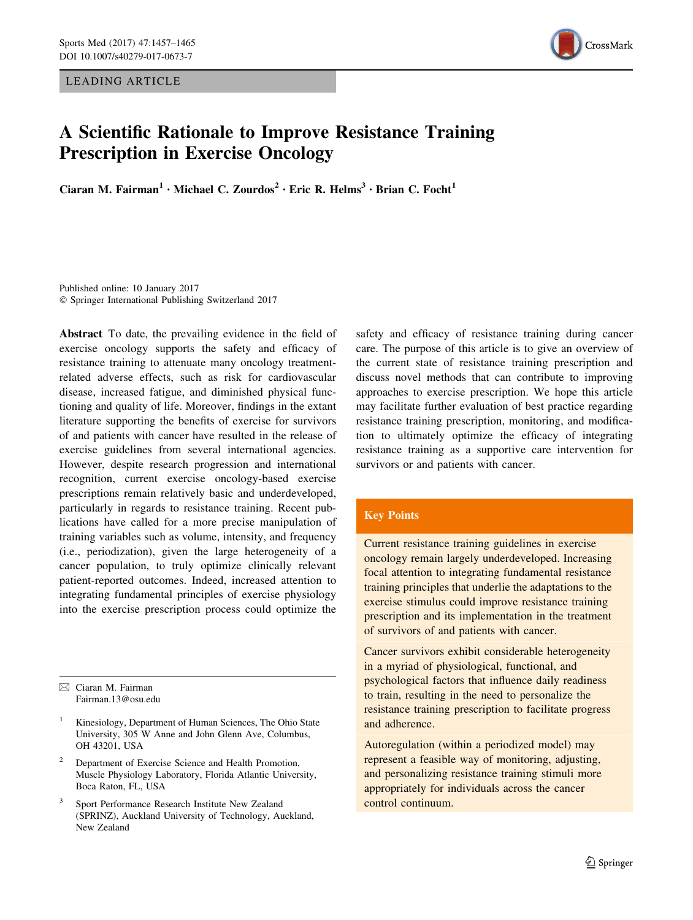LEADING ARTICLE



# A Scientific Rationale to Improve Resistance Training Prescription in Exercise Oncology

Ciaran M. Fairman<sup>1</sup> · Michael C. Zourdos<sup>2</sup> · Eric R. Helms<sup>3</sup> · Brian C. Focht<sup>1</sup>

Published online: 10 January 2017 - Springer International Publishing Switzerland 2017

Abstract To date, the prevailing evidence in the field of exercise oncology supports the safety and efficacy of resistance training to attenuate many oncology treatmentrelated adverse effects, such as risk for cardiovascular disease, increased fatigue, and diminished physical functioning and quality of life. Moreover, findings in the extant literature supporting the benefits of exercise for survivors of and patients with cancer have resulted in the release of exercise guidelines from several international agencies. However, despite research progression and international recognition, current exercise oncology-based exercise prescriptions remain relatively basic and underdeveloped, particularly in regards to resistance training. Recent publications have called for a more precise manipulation of training variables such as volume, intensity, and frequency (i.e., periodization), given the large heterogeneity of a cancer population, to truly optimize clinically relevant patient-reported outcomes. Indeed, increased attention to integrating fundamental principles of exercise physiology into the exercise prescription process could optimize the

 $\boxtimes$  Ciaran M. Fairman Fairman.13@osu.edu

- <sup>1</sup> Kinesiology, Department of Human Sciences, The Ohio State University, 305 W Anne and John Glenn Ave, Columbus, OH 43201, USA
- <sup>2</sup> Department of Exercise Science and Health Promotion, Muscle Physiology Laboratory, Florida Atlantic University, Boca Raton, FL, USA
- <sup>3</sup> Sport Performance Research Institute New Zealand (SPRINZ), Auckland University of Technology, Auckland, New Zealand

safety and efficacy of resistance training during cancer care. The purpose of this article is to give an overview of the current state of resistance training prescription and discuss novel methods that can contribute to improving approaches to exercise prescription. We hope this article may facilitate further evaluation of best practice regarding resistance training prescription, monitoring, and modification to ultimately optimize the efficacy of integrating resistance training as a supportive care intervention for survivors or and patients with cancer.

## Key Points

Current resistance training guidelines in exercise oncology remain largely underdeveloped. Increasing focal attention to integrating fundamental resistance training principles that underlie the adaptations to the exercise stimulus could improve resistance training prescription and its implementation in the treatment of survivors of and patients with cancer.

Cancer survivors exhibit considerable heterogeneity in a myriad of physiological, functional, and psychological factors that influence daily readiness to train, resulting in the need to personalize the resistance training prescription to facilitate progress and adherence.

Autoregulation (within a periodized model) may represent a feasible way of monitoring, adjusting, and personalizing resistance training stimuli more appropriately for individuals across the cancer control continuum.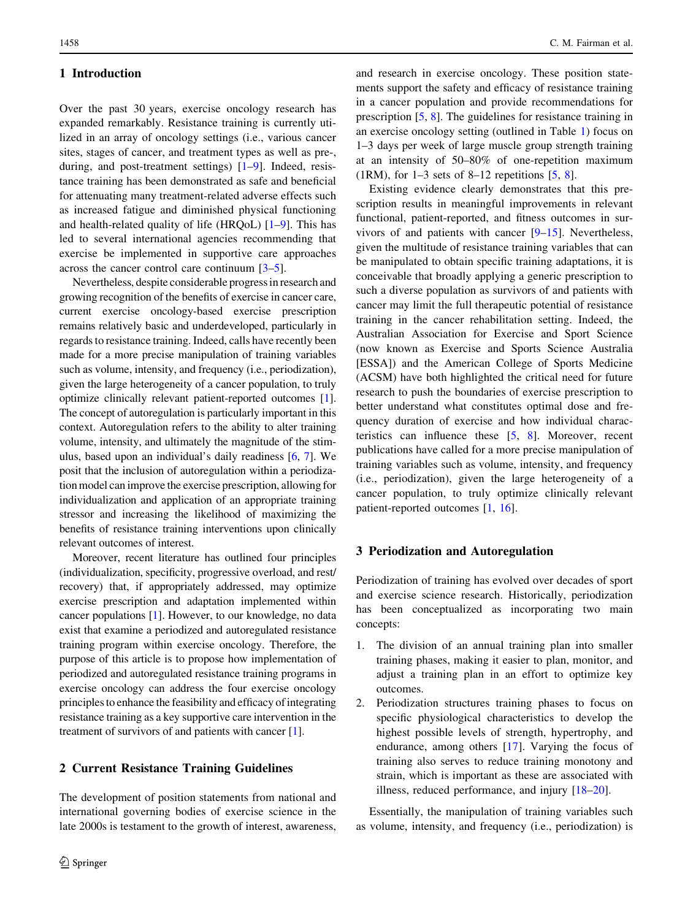## 1 Introduction

Over the past 30 years, exercise oncology research has expanded remarkably. Resistance training is currently utilized in an array of oncology settings (i.e., various cancer sites, stages of cancer, and treatment types as well as pre-, during, and post-treatment settings) [[1–9\]](#page-6-0). Indeed, resistance training has been demonstrated as safe and beneficial for attenuating many treatment-related adverse effects such as increased fatigue and diminished physical functioning and health-related quality of life (HRQoL)  $[1-9]$  $[1-9]$  $[1-9]$ . This has led to several international agencies recommending that exercise be implemented in supportive care approaches across the cancer control care continuum [[3–5\]](#page-6-0).

Nevertheless, despite considerable progress in research and growing recognition of the benefits of exercise in cancer care, current exercise oncology-based exercise prescription remains relatively basic and underdeveloped, particularly in regards to resistance training. Indeed, calls have recently been made for a more precise manipulation of training variables such as volume, intensity, and frequency (i.e., periodization), given the large heterogeneity of a cancer population, to truly optimize clinically relevant patient-reported outcomes [[1](#page-6-0)]. The concept of autoregulation is particularly important in this context. Autoregulation refers to the ability to alter training volume, intensity, and ultimately the magnitude of the stimulus, based upon an individual's daily readiness [[6,](#page-6-0) [7](#page-6-0)]. We posit that the inclusion of autoregulation within a periodization model can improve the exercise prescription, allowing for individualization and application of an appropriate training stressor and increasing the likelihood of maximizing the benefits of resistance training interventions upon clinically relevant outcomes of interest.

Moreover, recent literature has outlined four principles (individualization, specificity, progressive overload, and rest/ recovery) that, if appropriately addressed, may optimize exercise prescription and adaptation implemented within cancer populations [\[1](#page-6-0)]. However, to our knowledge, no data exist that examine a periodized and autoregulated resistance training program within exercise oncology. Therefore, the purpose of this article is to propose how implementation of periodized and autoregulated resistance training programs in exercise oncology can address the four exercise oncology principles to enhance the feasibility and efficacy of integrating resistance training as a key supportive care intervention in the treatment of survivors of and patients with cancer [\[1](#page-6-0)].

## 2 Current Resistance Training Guidelines

The development of position statements from national and international governing bodies of exercise science in the late 2000s is testament to the growth of interest, awareness, and research in exercise oncology. These position statements support the safety and efficacy of resistance training in a cancer population and provide recommendations for prescription [\[5,](#page-6-0) [8](#page-6-0)]. The guidelines for resistance training in an exercise oncology setting (outlined in Table [1\)](#page-2-0) focus on 1–3 days per week of large muscle group strength training at an intensity of 50–80% of one-repetition maximum  $(1RM)$ , for 1–3 sets of 8–12 repetitions [[5,](#page-6-0) [8](#page-6-0)].

Existing evidence clearly demonstrates that this prescription results in meaningful improvements in relevant functional, patient-reported, and fitness outcomes in survivors of and patients with cancer  $[9-15]$  $[9-15]$ . Nevertheless, given the multitude of resistance training variables that can be manipulated to obtain specific training adaptations, it is conceivable that broadly applying a generic prescription to such a diverse population as survivors of and patients with cancer may limit the full therapeutic potential of resistance training in the cancer rehabilitation setting. Indeed, the Australian Association for Exercise and Sport Science (now known as Exercise and Sports Science Australia [ESSA]) and the American College of Sports Medicine (ACSM) have both highlighted the critical need for future research to push the boundaries of exercise prescription to better understand what constitutes optimal dose and frequency duration of exercise and how individual characteristics can influence these [\[5](#page-6-0), [8](#page-6-0)]. Moreover, recent publications have called for a more precise manipulation of training variables such as volume, intensity, and frequency (i.e., periodization), given the large heterogeneity of a cancer population, to truly optimize clinically relevant patient-reported outcomes [[1](#page-6-0), [16](#page-7-0)].

## 3 Periodization and Autoregulation

Periodization of training has evolved over decades of sport and exercise science research. Historically, periodization has been conceptualized as incorporating two main concepts:

- 1. The division of an annual training plan into smaller training phases, making it easier to plan, monitor, and adjust a training plan in an effort to optimize key outcomes.
- 2. Periodization structures training phases to focus on specific physiological characteristics to develop the highest possible levels of strength, hypertrophy, and endurance, among others [[17\]](#page-7-0). Varying the focus of training also serves to reduce training monotony and strain, which is important as these are associated with illness, reduced performance, and injury [[18–20\]](#page-7-0).

Essentially, the manipulation of training variables such as volume, intensity, and frequency (i.e., periodization) is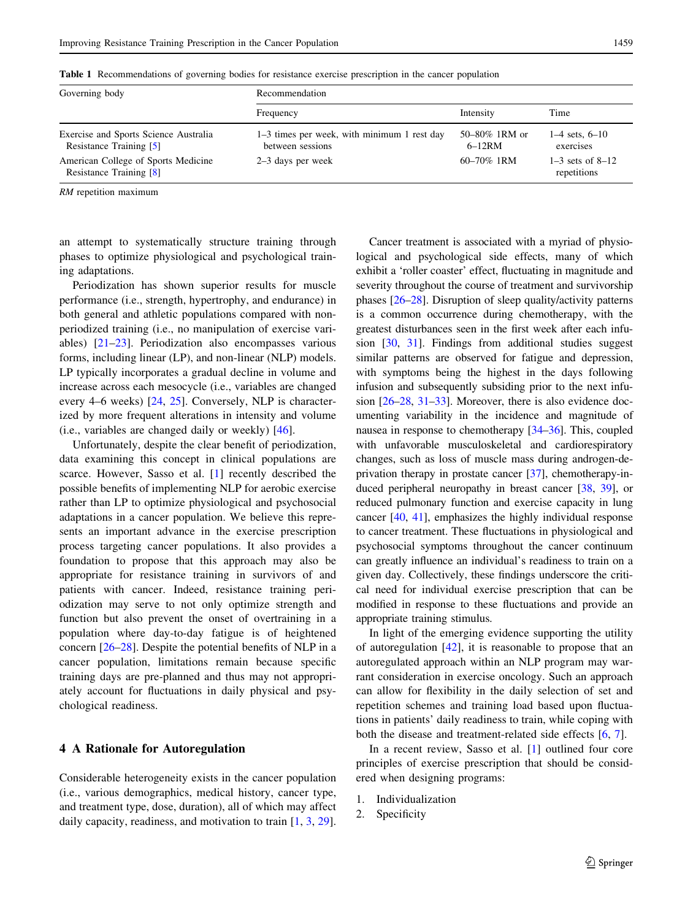| Governing body                                                   | Recommendation                                                  |                           |                                     |
|------------------------------------------------------------------|-----------------------------------------------------------------|---------------------------|-------------------------------------|
|                                                                  | Frequency                                                       | Intensity                 | Time                                |
| Exercise and Sports Science Australia<br>Resistance Training [5] | 1–3 times per week, with minimum 1 rest day<br>between sessions | 50–80% 1RM or<br>$6-12RM$ | $1-4$ sets, $6-10$<br>exercises     |
| American College of Sports Medicine<br>Resistance Training [8]   | $2-3$ days per week                                             | $60 - 70\%$ 1RM           | $1-3$ sets of $8-12$<br>repetitions |

<span id="page-2-0"></span>Table 1 Recommendations of governing bodies for resistance exercise prescription in the cancer population

RM repetition maximum

an attempt to systematically structure training through phases to optimize physiological and psychological training adaptations.

Periodization has shown superior results for muscle performance (i.e., strength, hypertrophy, and endurance) in both general and athletic populations compared with nonperiodized training (i.e., no manipulation of exercise variables) [\[21–23](#page-7-0)]. Periodization also encompasses various forms, including linear (LP), and non-linear (NLP) models. LP typically incorporates a gradual decline in volume and increase across each mesocycle (i.e., variables are changed every 4–6 weeks) [\[24,](#page-7-0) [25\]](#page-7-0). Conversely, NLP is characterized by more frequent alterations in intensity and volume (i.e., variables are changed daily or weekly) [\[46](#page-7-0)].

Unfortunately, despite the clear benefit of periodization, data examining this concept in clinical populations are scarce. However, Sasso et al. [[1\]](#page-6-0) recently described the possible benefits of implementing NLP for aerobic exercise rather than LP to optimize physiological and psychosocial adaptations in a cancer population. We believe this represents an important advance in the exercise prescription process targeting cancer populations. It also provides a foundation to propose that this approach may also be appropriate for resistance training in survivors of and patients with cancer. Indeed, resistance training periodization may serve to not only optimize strength and function but also prevent the onset of overtraining in a population where day-to-day fatigue is of heightened concern [[26–28\]](#page-7-0). Despite the potential benefits of NLP in a cancer population, limitations remain because specific training days are pre-planned and thus may not appropriately account for fluctuations in daily physical and psychological readiness.

### 4 A Rationale for Autoregulation

Considerable heterogeneity exists in the cancer population (i.e., various demographics, medical history, cancer type, and treatment type, dose, duration), all of which may affect daily capacity, readiness, and motivation to train [[1](#page-6-0), [3](#page-6-0), [29](#page-7-0)].

Cancer treatment is associated with a myriad of physiological and psychological side effects, many of which exhibit a 'roller coaster' effect, fluctuating in magnitude and severity throughout the course of treatment and survivorship phases [[26–28\]](#page-7-0). Disruption of sleep quality/activity patterns is a common occurrence during chemotherapy, with the greatest disturbances seen in the first week after each infusion [[30](#page-7-0), [31\]](#page-7-0). Findings from additional studies suggest similar patterns are observed for fatigue and depression, with symptoms being the highest in the days following infusion and subsequently subsiding prior to the next infusion [\[26–28](#page-7-0), [31–33\]](#page-7-0). Moreover, there is also evidence documenting variability in the incidence and magnitude of nausea in response to chemotherapy [[34–36](#page-7-0)]. This, coupled with unfavorable musculoskeletal and cardiorespiratory changes, such as loss of muscle mass during androgen-deprivation therapy in prostate cancer [[37](#page-7-0)], chemotherapy-induced peripheral neuropathy in breast cancer [[38](#page-7-0), [39\]](#page-7-0), or reduced pulmonary function and exercise capacity in lung cancer [[40](#page-7-0), [41](#page-7-0)], emphasizes the highly individual response to cancer treatment. These fluctuations in physiological and psychosocial symptoms throughout the cancer continuum can greatly influence an individual's readiness to train on a given day. Collectively, these findings underscore the critical need for individual exercise prescription that can be modified in response to these fluctuations and provide an appropriate training stimulus.

In light of the emerging evidence supporting the utility of autoregulation  $[42]$  $[42]$ , it is reasonable to propose that an autoregulated approach within an NLP program may warrant consideration in exercise oncology. Such an approach can allow for flexibility in the daily selection of set and repetition schemes and training load based upon fluctuations in patients' daily readiness to train, while coping with both the disease and treatment-related side effects [[6,](#page-6-0) [7](#page-6-0)].

In a recent review, Sasso et al. [[1\]](#page-6-0) outlined four core principles of exercise prescription that should be considered when designing programs:

- 1. Individualization
- 2. Specificity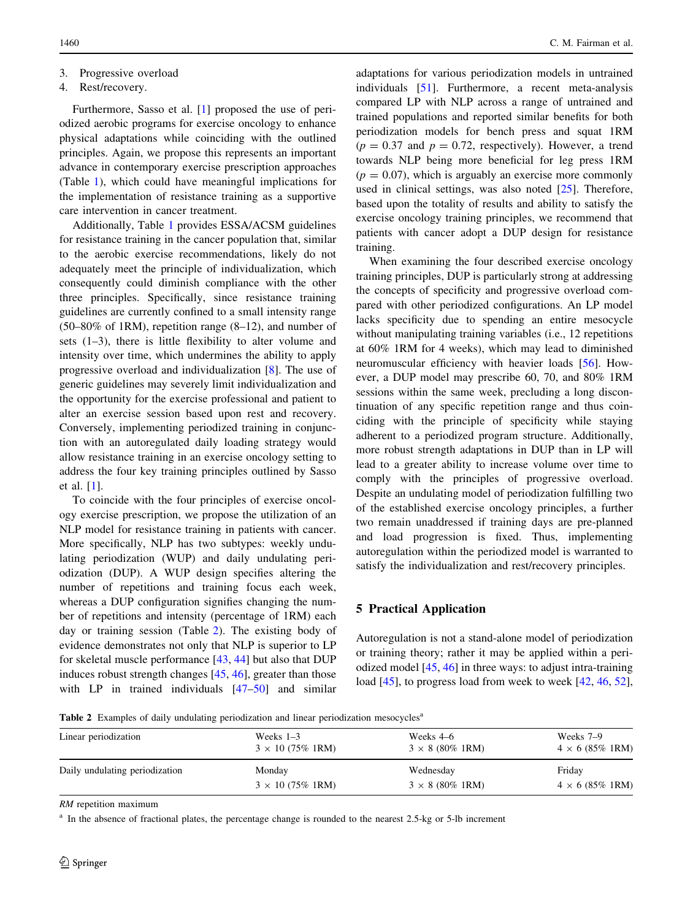3. Progressive overload

#### 4. Rest/recovery.

Furthermore, Sasso et al. [[1\]](#page-6-0) proposed the use of periodized aerobic programs for exercise oncology to enhance physical adaptations while coinciding with the outlined principles. Again, we propose this represents an important advance in contemporary exercise prescription approaches (Table [1](#page-2-0)), which could have meaningful implications for the implementation of resistance training as a supportive care intervention in cancer treatment.

Additionally, Table [1](#page-2-0) provides ESSA/ACSM guidelines for resistance training in the cancer population that, similar to the aerobic exercise recommendations, likely do not adequately meet the principle of individualization, which consequently could diminish compliance with the other three principles. Specifically, since resistance training guidelines are currently confined to a small intensity range  $(50-80\% \text{ of } 1 \text{RM})$ , repetition range  $(8-12)$ , and number of sets (1–3), there is little flexibility to alter volume and intensity over time, which undermines the ability to apply progressive overload and individualization [\[8](#page-6-0)]. The use of generic guidelines may severely limit individualization and the opportunity for the exercise professional and patient to alter an exercise session based upon rest and recovery. Conversely, implementing periodized training in conjunction with an autoregulated daily loading strategy would allow resistance training in an exercise oncology setting to address the four key training principles outlined by Sasso et al. [\[1](#page-6-0)].

To coincide with the four principles of exercise oncology exercise prescription, we propose the utilization of an NLP model for resistance training in patients with cancer. More specifically, NLP has two subtypes: weekly undulating periodization (WUP) and daily undulating periodization (DUP). A WUP design specifies altering the number of repetitions and training focus each week, whereas a DUP configuration signifies changing the number of repetitions and intensity (percentage of 1RM) each day or training session (Table 2). The existing body of evidence demonstrates not only that NLP is superior to LP for skeletal muscle performance [\[43](#page-7-0), [44](#page-7-0)] but also that DUP induces robust strength changes [\[45](#page-7-0), [46](#page-7-0)], greater than those with LP in trained individuals [[47–50\]](#page-8-0) and similar

adaptations for various periodization models in untrained individuals [[51\]](#page-8-0). Furthermore, a recent meta-analysis compared LP with NLP across a range of untrained and trained populations and reported similar benefits for both periodization models for bench press and squat 1RM  $(p = 0.37$  and  $p = 0.72$ , respectively). However, a trend towards NLP being more beneficial for leg press 1RM  $(p = 0.07)$ , which is arguably an exercise more commonly used in clinical settings, was also noted [\[25](#page-7-0)]. Therefore, based upon the totality of results and ability to satisfy the exercise oncology training principles, we recommend that patients with cancer adopt a DUP design for resistance training.

When examining the four described exercise oncology training principles, DUP is particularly strong at addressing the concepts of specificity and progressive overload compared with other periodized configurations. An LP model lacks specificity due to spending an entire mesocycle without manipulating training variables (i.e., 12 repetitions at 60% 1RM for 4 weeks), which may lead to diminished neuromuscular efficiency with heavier loads [[56\]](#page-8-0). However, a DUP model may prescribe 60, 70, and 80% 1RM sessions within the same week, precluding a long discontinuation of any specific repetition range and thus coinciding with the principle of specificity while staying adherent to a periodized program structure. Additionally, more robust strength adaptations in DUP than in LP will lead to a greater ability to increase volume over time to comply with the principles of progressive overload. Despite an undulating model of periodization fulfilling two of the established exercise oncology principles, a further two remain unaddressed if training days are pre-planned and load progression is fixed. Thus, implementing autoregulation within the periodized model is warranted to satisfy the individualization and rest/recovery principles.

## 5 Practical Application

Autoregulation is not a stand-alone model of periodization or training theory; rather it may be applied within a periodized model [[45,](#page-7-0) [46\]](#page-7-0) in three ways: to adjust intra-training load [\[45](#page-7-0)], to progress load from week to week [\[42](#page-7-0), [46](#page-7-0), [52](#page-8-0)],

Table 2 Examples of daily undulating periodization and linear periodization mesocycles<sup>a</sup>

| Linear periodization           | Weeks $1-3$             | Weeks 4–6                       | Weeks 7–9                       |
|--------------------------------|-------------------------|---------------------------------|---------------------------------|
|                                | $3 \times 10$ (75% 1RM) | $3 \times 8 (80\% \text{ 1RM})$ | $4 \times 6$ (85% 1RM)          |
| Daily undulating periodization | Monday                  | Wednesday                       | Friday                          |
|                                | $3 \times 10$ (75% 1RM) | $3 \times 8 (80\% \text{ 1RM})$ | $4 \times 6 (85\% \text{ 1RM})$ |

RM repetition maximum

<sup>a</sup> In the absence of fractional plates, the percentage change is rounded to the nearest 2.5-kg or 5-lb increment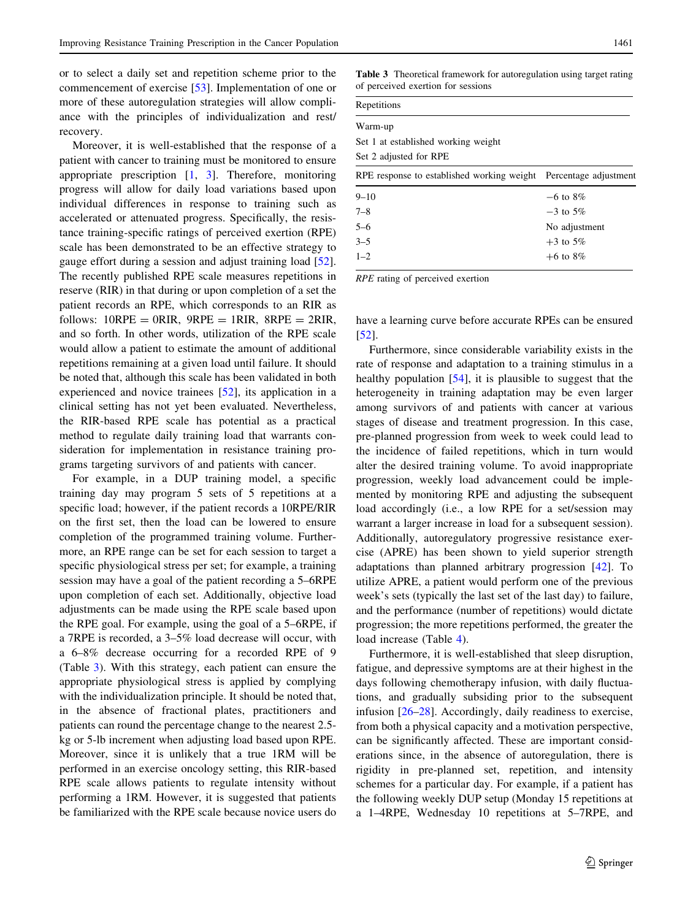or to select a daily set and repetition scheme prior to the commencement of exercise [\[53](#page-8-0)]. Implementation of one or more of these autoregulation strategies will allow compliance with the principles of individualization and rest/ recovery.

Moreover, it is well-established that the response of a patient with cancer to training must be monitored to ensure appropriate prescription  $\begin{bmatrix} 1 \\ 3 \end{bmatrix}$  $\begin{bmatrix} 1 \\ 3 \end{bmatrix}$  $\begin{bmatrix} 1 \\ 3 \end{bmatrix}$ . Therefore, monitoring progress will allow for daily load variations based upon individual differences in response to training such as accelerated or attenuated progress. Specifically, the resistance training-specific ratings of perceived exertion (RPE) scale has been demonstrated to be an effective strategy to gauge effort during a session and adjust training load [\[52](#page-8-0)]. The recently published RPE scale measures repetitions in reserve (RIR) in that during or upon completion of a set the patient records an RPE, which corresponds to an RIR as follows:  $10RPE = 0RIR$ ,  $9RPE = 1RIR$ ,  $8RPE = 2RIR$ , and so forth. In other words, utilization of the RPE scale would allow a patient to estimate the amount of additional repetitions remaining at a given load until failure. It should be noted that, although this scale has been validated in both experienced and novice trainees [\[52](#page-8-0)], its application in a clinical setting has not yet been evaluated. Nevertheless, the RIR-based RPE scale has potential as a practical method to regulate daily training load that warrants consideration for implementation in resistance training programs targeting survivors of and patients with cancer.

For example, in a DUP training model, a specific training day may program 5 sets of 5 repetitions at a specific load; however, if the patient records a 10RPE/RIR on the first set, then the load can be lowered to ensure completion of the programmed training volume. Furthermore, an RPE range can be set for each session to target a specific physiological stress per set; for example, a training session may have a goal of the patient recording a 5–6RPE upon completion of each set. Additionally, objective load adjustments can be made using the RPE scale based upon the RPE goal. For example, using the goal of a 5–6RPE, if a 7RPE is recorded, a 3–5% load decrease will occur, with a 6–8% decrease occurring for a recorded RPE of 9 (Table 3). With this strategy, each patient can ensure the appropriate physiological stress is applied by complying with the individualization principle. It should be noted that, in the absence of fractional plates, practitioners and patients can round the percentage change to the nearest 2.5 kg or 5-lb increment when adjusting load based upon RPE. Moreover, since it is unlikely that a true 1RM will be performed in an exercise oncology setting, this RIR-based RPE scale allows patients to regulate intensity without performing a 1RM. However, it is suggested that patients be familiarized with the RPE scale because novice users do Table 3 Theoretical framework for autoregulation using target rating of perceived exertion for sessions

| Repetitions |
|-------------|
|             |

| Warm-up                                    |                       |
|--------------------------------------------|-----------------------|
| Set 1 at established working weight        |                       |
| Set 2 adjusted for RPE                     |                       |
| RPE response to established working weight | Percentage adjustment |
| $9 - 10$                                   | $-6$ to $8\%$         |
| $7 - 8$                                    | $-3$ to 5%            |
| $5 - 6$                                    | No adjustment         |
| $3 - 5$                                    | $+3$ to 5%            |
| $1 - 2$                                    | $+6$ to 8%            |

RPE rating of perceived exertion

have a learning curve before accurate RPEs can be ensured [\[52](#page-8-0)].

Furthermore, since considerable variability exists in the rate of response and adaptation to a training stimulus in a healthy population [\[54](#page-8-0)], it is plausible to suggest that the heterogeneity in training adaptation may be even larger among survivors of and patients with cancer at various stages of disease and treatment progression. In this case, pre-planned progression from week to week could lead to the incidence of failed repetitions, which in turn would alter the desired training volume. To avoid inappropriate progression, weekly load advancement could be implemented by monitoring RPE and adjusting the subsequent load accordingly (i.e., a low RPE for a set/session may warrant a larger increase in load for a subsequent session). Additionally, autoregulatory progressive resistance exercise (APRE) has been shown to yield superior strength adaptations than planned arbitrary progression [[42\]](#page-7-0). To utilize APRE, a patient would perform one of the previous week's sets (typically the last set of the last day) to failure, and the performance (number of repetitions) would dictate progression; the more repetitions performed, the greater the load increase (Table [4](#page-5-0)).

Furthermore, it is well-established that sleep disruption, fatigue, and depressive symptoms are at their highest in the days following chemotherapy infusion, with daily fluctuations, and gradually subsiding prior to the subsequent infusion [\[26–28](#page-7-0)]. Accordingly, daily readiness to exercise, from both a physical capacity and a motivation perspective, can be significantly affected. These are important considerations since, in the absence of autoregulation, there is rigidity in pre-planned set, repetition, and intensity schemes for a particular day. For example, if a patient has the following weekly DUP setup (Monday 15 repetitions at a 1–4RPE, Wednesday 10 repetitions at 5–7RPE, and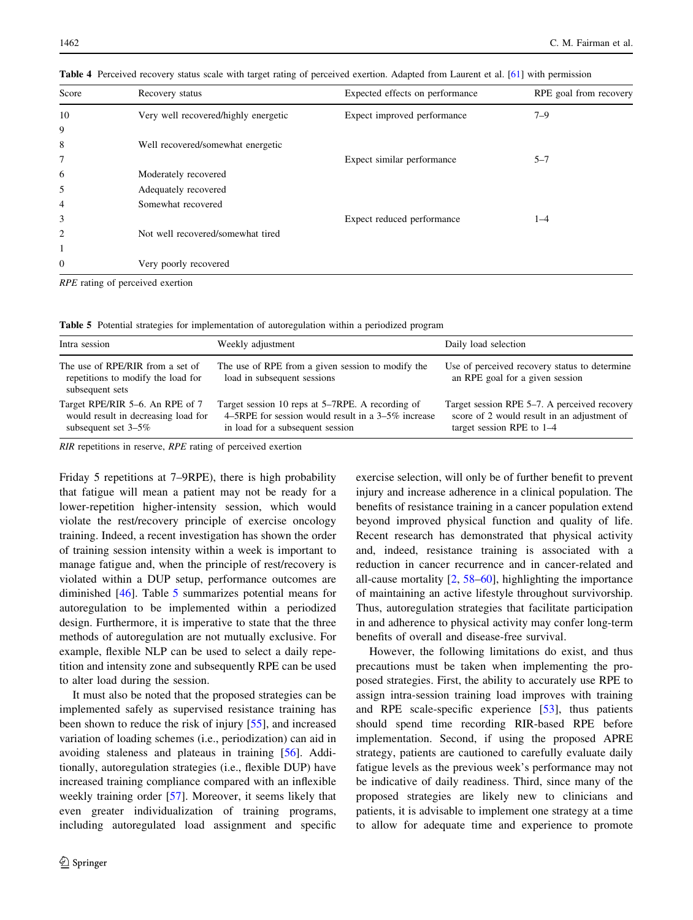| Score          | Recovery status                      | Expected effects on performance | RPE goal from recovery |
|----------------|--------------------------------------|---------------------------------|------------------------|
| 10             | Very well recovered/highly energetic | Expect improved performance     | $7 - 9$                |
| 9              |                                      |                                 |                        |
| 8              | Well recovered/somewhat energetic    |                                 |                        |
| 7              |                                      | Expect similar performance      | $5 - 7$                |
| 6              | Moderately recovered                 |                                 |                        |
| 5              | Adequately recovered                 |                                 |                        |
| 4              | Somewhat recovered                   |                                 |                        |
| 3              |                                      | Expect reduced performance      | $1 - 4$                |
| 2              | Not well recovered/somewhat tired    |                                 |                        |
| 1              |                                      |                                 |                        |
| $\overline{0}$ | Very poorly recovered                |                                 |                        |
|                |                                      |                                 |                        |

<span id="page-5-0"></span>Table 4 Perceived recovery status scale with target rating of perceived exertion. Adapted from Laurent et al. [\[61\]](#page-8-0) with permission

RPE rating of perceived exertion

Table 5 Potential strategies for implementation of autoregulation within a periodized program

| Intra session                                                                                    | Weekly adjustment                                                                                                                             | Daily load selection                                                                                                       |
|--------------------------------------------------------------------------------------------------|-----------------------------------------------------------------------------------------------------------------------------------------------|----------------------------------------------------------------------------------------------------------------------------|
| The use of RPE/RIR from a set of<br>repetitions to modify the load for<br>subsequent sets        | The use of RPE from a given session to modify the<br>load in subsequent sessions                                                              | Use of perceived recovery status to determine<br>an RPE goal for a given session                                           |
| Target RPE/RIR 5–6. An RPE of 7<br>would result in decreasing load for<br>subsequent set $3-5\%$ | Target session 10 reps at 5–7RPE. A recording of<br>4–5RPE for session would result in a $3-5\%$ increase<br>in load for a subsequent session | Target session RPE 5–7. A perceived recovery<br>score of 2 would result in an adjustment of<br>target session RPE to $1-4$ |

RIR repetitions in reserve, RPE rating of perceived exertion

Friday 5 repetitions at 7–9RPE), there is high probability that fatigue will mean a patient may not be ready for a lower-repetition higher-intensity session, which would violate the rest/recovery principle of exercise oncology training. Indeed, a recent investigation has shown the order of training session intensity within a week is important to manage fatigue and, when the principle of rest/recovery is violated within a DUP setup, performance outcomes are diminished [[46\]](#page-7-0). Table 5 summarizes potential means for autoregulation to be implemented within a periodized design. Furthermore, it is imperative to state that the three methods of autoregulation are not mutually exclusive. For example, flexible NLP can be used to select a daily repetition and intensity zone and subsequently RPE can be used to alter load during the session.

It must also be noted that the proposed strategies can be implemented safely as supervised resistance training has been shown to reduce the risk of injury [\[55](#page-8-0)], and increased variation of loading schemes (i.e., periodization) can aid in avoiding staleness and plateaus in training [[56](#page-8-0)]. Additionally, autoregulation strategies (i.e., flexible DUP) have increased training compliance compared with an inflexible weekly training order [\[57\]](#page-8-0). Moreover, it seems likely that even greater individualization of training programs, including autoregulated load assignment and specific exercise selection, will only be of further benefit to prevent injury and increase adherence in a clinical population. The benefits of resistance training in a cancer population extend beyond improved physical function and quality of life. Recent research has demonstrated that physical activity and, indeed, resistance training is associated with a reduction in cancer recurrence and in cancer-related and all-cause mortality [[2,](#page-6-0) [58–60](#page-8-0)], highlighting the importance of maintaining an active lifestyle throughout survivorship. Thus, autoregulation strategies that facilitate participation in and adherence to physical activity may confer long-term benefits of overall and disease-free survival.

However, the following limitations do exist, and thus precautions must be taken when implementing the proposed strategies. First, the ability to accurately use RPE to assign intra-session training load improves with training and RPE scale-specific experience [[53\]](#page-8-0), thus patients should spend time recording RIR-based RPE before implementation. Second, if using the proposed APRE strategy, patients are cautioned to carefully evaluate daily fatigue levels as the previous week's performance may not be indicative of daily readiness. Third, since many of the proposed strategies are likely new to clinicians and patients, it is advisable to implement one strategy at a time to allow for adequate time and experience to promote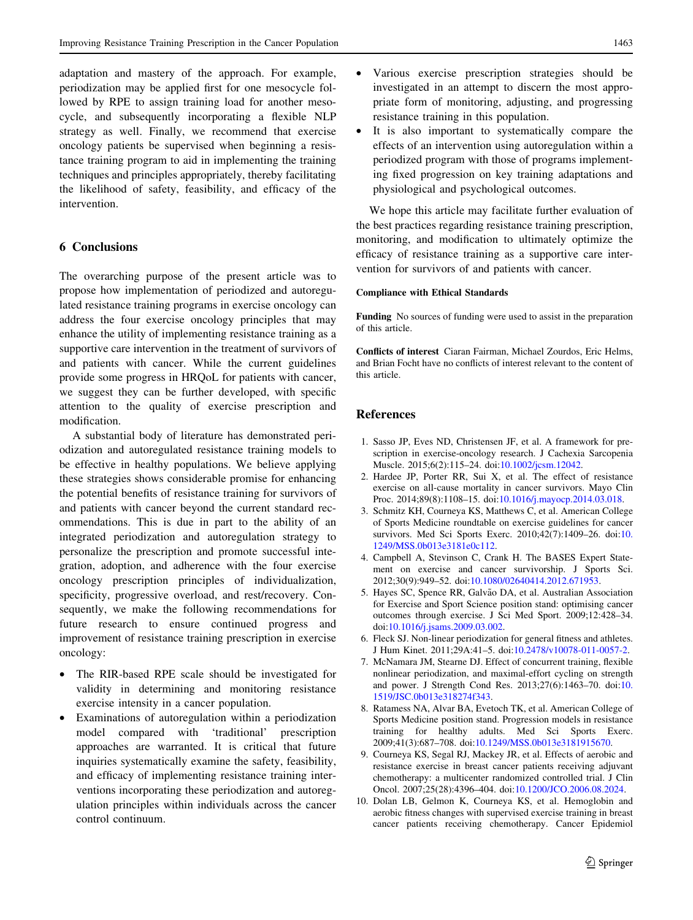<span id="page-6-0"></span>adaptation and mastery of the approach. For example, periodization may be applied first for one mesocycle followed by RPE to assign training load for another mesocycle, and subsequently incorporating a flexible NLP strategy as well. Finally, we recommend that exercise oncology patients be supervised when beginning a resistance training program to aid in implementing the training techniques and principles appropriately, thereby facilitating the likelihood of safety, feasibility, and efficacy of the intervention.

# 6 Conclusions

The overarching purpose of the present article was to propose how implementation of periodized and autoregulated resistance training programs in exercise oncology can address the four exercise oncology principles that may enhance the utility of implementing resistance training as a supportive care intervention in the treatment of survivors of and patients with cancer. While the current guidelines provide some progress in HRQoL for patients with cancer, we suggest they can be further developed, with specific attention to the quality of exercise prescription and modification.

A substantial body of literature has demonstrated periodization and autoregulated resistance training models to be effective in healthy populations. We believe applying these strategies shows considerable promise for enhancing the potential benefits of resistance training for survivors of and patients with cancer beyond the current standard recommendations. This is due in part to the ability of an integrated periodization and autoregulation strategy to personalize the prescription and promote successful integration, adoption, and adherence with the four exercise oncology prescription principles of individualization, specificity, progressive overload, and rest/recovery. Consequently, we make the following recommendations for future research to ensure continued progress and improvement of resistance training prescription in exercise oncology:

- The RIR-based RPE scale should be investigated for validity in determining and monitoring resistance exercise intensity in a cancer population.
- Examinations of autoregulation within a periodization model compared with 'traditional' prescription approaches are warranted. It is critical that future inquiries systematically examine the safety, feasibility, and efficacy of implementing resistance training interventions incorporating these periodization and autoregulation principles within individuals across the cancer control continuum.
- Various exercise prescription strategies should be investigated in an attempt to discern the most appropriate form of monitoring, adjusting, and progressing resistance training in this population.
- It is also important to systematically compare the effects of an intervention using autoregulation within a periodized program with those of programs implementing fixed progression on key training adaptations and physiological and psychological outcomes.

We hope this article may facilitate further evaluation of the best practices regarding resistance training prescription, monitoring, and modification to ultimately optimize the efficacy of resistance training as a supportive care intervention for survivors of and patients with cancer.

#### Compliance with Ethical Standards

Funding No sources of funding were used to assist in the preparation of this article.

Conflicts of interest Ciaran Fairman, Michael Zourdos, Eric Helms, and Brian Focht have no conflicts of interest relevant to the content of this article.

## References

- 1. Sasso JP, Eves ND, Christensen JF, et al. A framework for prescription in exercise-oncology research. J Cachexia Sarcopenia Muscle. 2015;6(2):115–24. doi[:10.1002/jcsm.12042](http://dx.doi.org/10.1002/jcsm.12042).
- 2. Hardee JP, Porter RR, Sui X, et al. The effect of resistance exercise on all-cause mortality in cancer survivors. Mayo Clin Proc. 2014;89(8):1108–15. doi[:10.1016/j.mayocp.2014.03.018.](http://dx.doi.org/10.1016/j.mayocp.2014.03.018)
- 3. Schmitz KH, Courneya KS, Matthews C, et al. American College of Sports Medicine roundtable on exercise guidelines for cancer survivors. Med Sci Sports Exerc. 2010;42(7):1409–26. doi:[10.](http://dx.doi.org/10.1249/MSS.0b013e3181e0c112) [1249/MSS.0b013e3181e0c112](http://dx.doi.org/10.1249/MSS.0b013e3181e0c112).
- 4. Campbell A, Stevinson C, Crank H. The BASES Expert Statement on exercise and cancer survivorship. J Sports Sci. 2012;30(9):949–52. doi[:10.1080/02640414.2012.671953.](http://dx.doi.org/10.1080/02640414.2012.671953)
- 5. Hayes SC, Spence RR, Galvão DA, et al. Australian Association for Exercise and Sport Science position stand: optimising cancer outcomes through exercise. J Sci Med Sport. 2009;12:428–34. doi:[10.1016/j.jsams.2009.03.002](http://dx.doi.org/10.1016/j.jsams.2009.03.002).
- 6. Fleck SJ. Non-linear periodization for general fitness and athletes. J Hum Kinet. 2011;29A:41–5. doi:[10.2478/v10078-011-0057-2](http://dx.doi.org/10.2478/v10078-011-0057-2).
- 7. McNamara JM, Stearne DJ. Effect of concurrent training, flexible nonlinear periodization, and maximal-effort cycling on strength and power. J Strength Cond Res. 2013;27(6):1463–70. doi:[10.](http://dx.doi.org/10.1519/JSC.0b013e318274f343) [1519/JSC.0b013e318274f343.](http://dx.doi.org/10.1519/JSC.0b013e318274f343)
- 8. Ratamess NA, Alvar BA, Evetoch TK, et al. American College of Sports Medicine position stand. Progression models in resistance training for healthy adults. Med Sci Sports Exerc. 2009;41(3):687–708. doi:[10.1249/MSS.0b013e3181915670.](http://dx.doi.org/10.1249/MSS.0b013e3181915670)
- 9. Courneya KS, Segal RJ, Mackey JR, et al. Effects of aerobic and resistance exercise in breast cancer patients receiving adjuvant chemotherapy: a multicenter randomized controlled trial. J Clin Oncol. 2007;25(28):4396–404. doi:[10.1200/JCO.2006.08.2024](http://dx.doi.org/10.1200/JCO.2006.08.2024).
- 10. Dolan LB, Gelmon K, Courneya KS, et al. Hemoglobin and aerobic fitness changes with supervised exercise training in breast cancer patients receiving chemotherapy. Cancer Epidemiol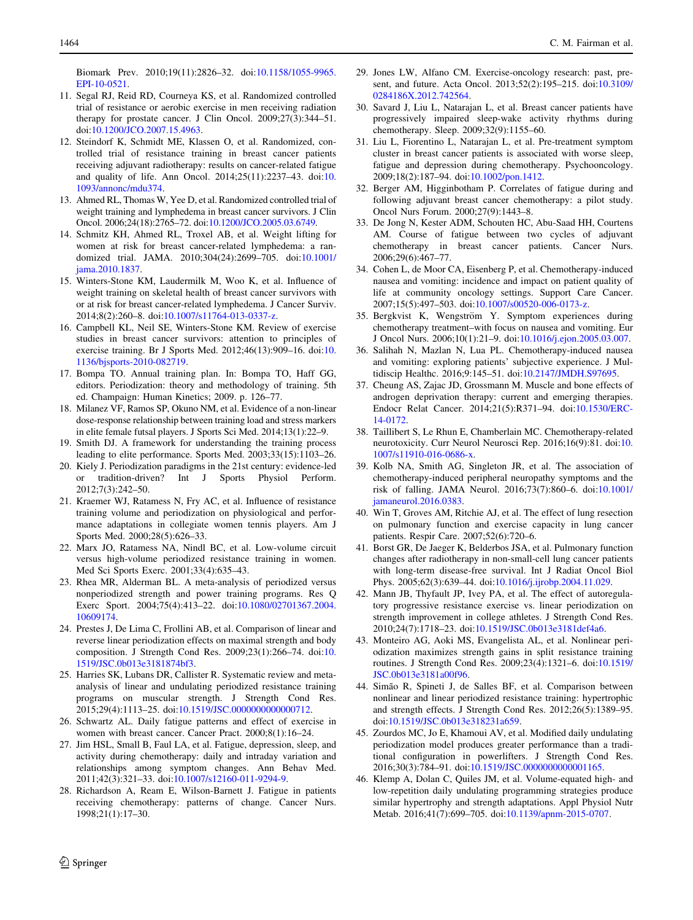- <span id="page-7-0"></span>11. Segal RJ, Reid RD, Courneya KS, et al. Randomized controlled trial of resistance or aerobic exercise in men receiving radiation therapy for prostate cancer. J Clin Oncol. 2009;27(3):344–51. doi:[10.1200/JCO.2007.15.4963](http://dx.doi.org/10.1200/JCO.2007.15.4963).
- 12. Steindorf K, Schmidt ME, Klassen O, et al. Randomized, controlled trial of resistance training in breast cancer patients receiving adjuvant radiotherapy: results on cancer-related fatigue and quality of life. Ann Oncol. 2014;25(11):2237–43. doi:[10.](http://dx.doi.org/10.1093/annonc/mdu374) [1093/annonc/mdu374.](http://dx.doi.org/10.1093/annonc/mdu374)
- 13. Ahmed RL, Thomas W, Yee D, et al. Randomized controlled trial of weight training and lymphedema in breast cancer survivors. J Clin Oncol. 2006;24(18):2765–72. doi[:10.1200/JCO.2005.03.6749.](http://dx.doi.org/10.1200/JCO.2005.03.6749)
- 14. Schmitz KH, Ahmed RL, Troxel AB, et al. Weight lifting for women at risk for breast cancer-related lymphedema: a randomized trial. JAMA. 2010;304(24):2699–705. doi[:10.1001/](http://dx.doi.org/10.1001/jama.2010.1837) [jama.2010.1837](http://dx.doi.org/10.1001/jama.2010.1837).
- 15. Winters-Stone KM, Laudermilk M, Woo K, et al. Influence of weight training on skeletal health of breast cancer survivors with or at risk for breast cancer-related lymphedema. J Cancer Surviv. 2014;8(2):260–8. doi:[10.1007/s11764-013-0337-z](http://dx.doi.org/10.1007/s11764-013-0337-z).
- 16. Campbell KL, Neil SE, Winters-Stone KM. Review of exercise studies in breast cancer survivors: attention to principles of exercise training. Br J Sports Med. 2012;46(13):909–16. doi:[10.](http://dx.doi.org/10.1136/bjsports-2010-082719) [1136/bjsports-2010-082719.](http://dx.doi.org/10.1136/bjsports-2010-082719)
- 17. Bompa TO. Annual training plan. In: Bompa TO, Haff GG, editors. Periodization: theory and methodology of training. 5th ed. Champaign: Human Kinetics; 2009. p. 126–77.
- 18. Milanez VF, Ramos SP, Okuno NM, et al. Evidence of a non-linear dose-response relationship between training load and stress markers in elite female futsal players. J Sports Sci Med. 2014;13(1):22–9.
- 19. Smith DJ. A framework for understanding the training process leading to elite performance. Sports Med. 2003;33(15):1103–26.
- 20. Kiely J. Periodization paradigms in the 21st century: evidence-led or tradition-driven? Int J Sports Physiol Perform. 2012;7(3):242–50.
- 21. Kraemer WJ, Ratamess N, Fry AC, et al. Influence of resistance training volume and periodization on physiological and performance adaptations in collegiate women tennis players. Am J Sports Med. 2000;28(5):626–33.
- 22. Marx JO, Ratamess NA, Nindl BC, et al. Low-volume circuit versus high-volume periodized resistance training in women. Med Sci Sports Exerc. 2001;33(4):635–43.
- 23. Rhea MR, Alderman BL. A meta-analysis of periodized versus nonperiodized strength and power training programs. Res Q Exerc Sport. 2004;75(4):413–22. doi[:10.1080/02701367.2004.](http://dx.doi.org/10.1080/02701367.2004.10609174) [10609174](http://dx.doi.org/10.1080/02701367.2004.10609174).
- 24. Prestes J, De Lima C, Frollini AB, et al. Comparison of linear and reverse linear periodization effects on maximal strength and body composition. J Strength Cond Res. 2009;23(1):266–74. doi:[10.](http://dx.doi.org/10.1519/JSC.0b013e3181874bf3) [1519/JSC.0b013e3181874bf3.](http://dx.doi.org/10.1519/JSC.0b013e3181874bf3)
- 25. Harries SK, Lubans DR, Callister R. Systematic review and metaanalysis of linear and undulating periodized resistance training programs on muscular strength. J Strength Cond Res. 2015;29(4):1113–25. doi[:10.1519/JSC.0000000000000712.](http://dx.doi.org/10.1519/JSC.0000000000000712)
- 26. Schwartz AL. Daily fatigue patterns and effect of exercise in women with breast cancer. Cancer Pract. 2000;8(1):16–24.
- 27. Jim HSL, Small B, Faul LA, et al. Fatigue, depression, sleep, and activity during chemotherapy: daily and intraday variation and relationships among symptom changes. Ann Behav Med. 2011;42(3):321–33. doi[:10.1007/s12160-011-9294-9.](http://dx.doi.org/10.1007/s12160-011-9294-9)
- 28. Richardson A, Ream E, Wilson-Barnett J. Fatigue in patients receiving chemotherapy: patterns of change. Cancer Nurs. 1998;21(1):17–30.
- 29. Jones LW, Alfano CM. Exercise-oncology research: past, present, and future. Acta Oncol. 2013;52(2):195–215. doi[:10.3109/](http://dx.doi.org/10.3109/0284186X.2012.742564) [0284186X.2012.742564](http://dx.doi.org/10.3109/0284186X.2012.742564).
- 30. Savard J, Liu L, Natarajan L, et al. Breast cancer patients have progressively impaired sleep-wake activity rhythms during chemotherapy. Sleep. 2009;32(9):1155–60.
- 31. Liu L, Fiorentino L, Natarajan L, et al. Pre-treatment symptom cluster in breast cancer patients is associated with worse sleep, fatigue and depression during chemotherapy. Psychooncology. 2009;18(2):187–94. doi[:10.1002/pon.1412](http://dx.doi.org/10.1002/pon.1412).
- 32. Berger AM, Higginbotham P. Correlates of fatigue during and following adjuvant breast cancer chemotherapy: a pilot study. Oncol Nurs Forum. 2000;27(9):1443–8.
- 33. De Jong N, Kester ADM, Schouten HC, Abu-Saad HH, Courtens AM. Course of fatigue between two cycles of adjuvant chemotherapy in breast cancer patients. Cancer Nurs. 2006;29(6):467–77.
- 34. Cohen L, de Moor CA, Eisenberg P, et al. Chemotherapy-induced nausea and vomiting: incidence and impact on patient quality of life at community oncology settings. Support Care Cancer. 2007;15(5):497–503. doi:[10.1007/s00520-006-0173-z.](http://dx.doi.org/10.1007/s00520-006-0173-z)
- 35. Bergkvist K, Wengström Y. Symptom experiences during chemotherapy treatment–with focus on nausea and vomiting. Eur J Oncol Nurs. 2006;10(1):21–9. doi:[10.1016/j.ejon.2005.03.007](http://dx.doi.org/10.1016/j.ejon.2005.03.007).
- 36. Salihah N, Mazlan N, Lua PL. Chemotherapy-induced nausea and vomiting: exploring patients' subjective experience. J Multidiscip Healthc. 2016;9:145–51. doi:[10.2147/JMDH.S97695](http://dx.doi.org/10.2147/JMDH.S97695).
- 37. Cheung AS, Zajac JD, Grossmann M. Muscle and bone effects of androgen deprivation therapy: current and emerging therapies. Endocr Relat Cancer. 2014;21(5):R371–94. doi[:10.1530/ERC-](http://dx.doi.org/10.1530/ERC-14-0172)[14-0172.](http://dx.doi.org/10.1530/ERC-14-0172)
- 38. Taillibert S, Le Rhun E, Chamberlain MC. Chemotherapy-related neurotoxicity. Curr Neurol Neurosci Rep. 2016;16(9):81. doi:[10.](http://dx.doi.org/10.1007/s11910-016-0686-x) [1007/s11910-016-0686-x.](http://dx.doi.org/10.1007/s11910-016-0686-x)
- 39. Kolb NA, Smith AG, Singleton JR, et al. The association of chemotherapy-induced peripheral neuropathy symptoms and the risk of falling. JAMA Neurol. 2016;73(7):860–6. doi[:10.1001/](http://dx.doi.org/10.1001/jamaneurol.2016.0383) [jamaneurol.2016.0383](http://dx.doi.org/10.1001/jamaneurol.2016.0383).
- 40. Win T, Groves AM, Ritchie AJ, et al. The effect of lung resection on pulmonary function and exercise capacity in lung cancer patients. Respir Care. 2007;52(6):720–6.
- 41. Borst GR, De Jaeger K, Belderbos JSA, et al. Pulmonary function changes after radiotherapy in non-small-cell lung cancer patients with long-term disease-free survival. Int J Radiat Oncol Biol Phys. 2005;62(3):639–44. doi:[10.1016/j.ijrobp.2004.11.029.](http://dx.doi.org/10.1016/j.ijrobp.2004.11.029)
- 42. Mann JB, Thyfault JP, Ivey PA, et al. The effect of autoregulatory progressive resistance exercise vs. linear periodization on strength improvement in college athletes. J Strength Cond Res. 2010;24(7):1718–23. doi:[10.1519/JSC.0b013e3181def4a6](http://dx.doi.org/10.1519/JSC.0b013e3181def4a6).
- 43. Monteiro AG, Aoki MS, Evangelista AL, et al. Nonlinear periodization maximizes strength gains in split resistance training routines. J Strength Cond Res. 2009;23(4):1321–6. doi[:10.1519/](http://dx.doi.org/10.1519/JSC.0b013e3181a00f96) [JSC.0b013e3181a00f96.](http://dx.doi.org/10.1519/JSC.0b013e3181a00f96)
- 44. Simão R, Spineti J, de Salles BF, et al. Comparison between nonlinear and linear periodized resistance training: hypertrophic and strength effects. J Strength Cond Res. 2012;26(5):1389–95. doi:[10.1519/JSC.0b013e318231a659](http://dx.doi.org/10.1519/JSC.0b013e318231a659).
- 45. Zourdos MC, Jo E, Khamoui AV, et al. Modified daily undulating periodization model produces greater performance than a traditional configuration in powerlifters. J Strength Cond Res. 2016;30(3):784–91. doi[:10.1519/JSC.0000000000001165.](http://dx.doi.org/10.1519/JSC.0000000000001165)
- 46. Klemp A, Dolan C, Quiles JM, et al. Volume-equated high- and low-repetition daily undulating programming strategies produce similar hypertrophy and strength adaptations. Appl Physiol Nutr Metab. 2016;41(7):699–705. doi[:10.1139/apnm-2015-0707.](http://dx.doi.org/10.1139/apnm-2015-0707)